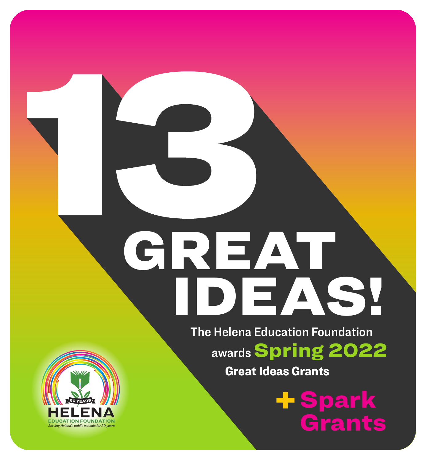# GREAT IDEAS!

The Helena Education Foundation

awards Spring 2022

Great Ideas Grants

**- Spark<br>Crants** Grants de la Cartella<br>Grants de la Cartella

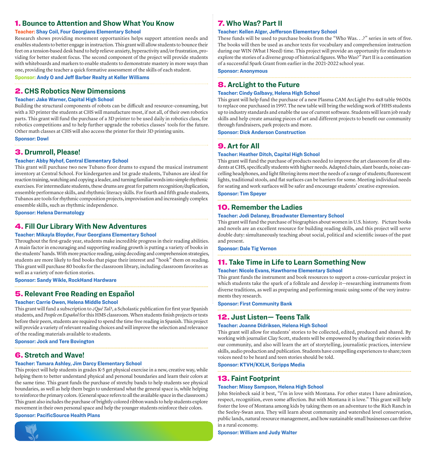#### 1. **Bounce to Attention and Show What You Know**

#### **Teacher: Shay Coil, Four Georgians Elementary School**

Research shows providing movement opportunities helps support attention needs and enables students to better engage in instruction. This grant will allow students to bounce their feet on a tension-based desk band to help relieve anxiety, hyperactivity and/or frustration, providing for better student focus. The second component of the project will provide students with whiteboards and markers to enable students to demonstrate mastery in more ways than one, providing the teacher a quick formative assessment of the skills of each student.

**Sponsor: Andy O and Jeff Barber Realty at Keller Williams**

#### 2. **CHS Robotics New Dimensions**

#### **Teacher: Jake Warner, Capital High School**

Building the structural components of robots can be difficult and resource-consuming, but with a 3D printer the students at CHS will manufacture most, if not all, of their own robotics parts. This grant will fund the purchase of a 3D printer to be used daily in robotics class, for robotics competitions and to help further upgrade the robotics classes' tools for the future. Other math classes at CHS will also access the printer for their 3D printing units.

**Sponsor: Dowl**

#### 3. **Drumroll, Please!**

#### **Teacher: Abby Nyhof, Central Elementary School**

This grant will purchase two new Tubano floor drums to expand the musical instrument inventory at Central School. For kindergarten and 1st grade students, Tubanos are ideal for reaction training, watching and copying a leader, and turning familiar words into simple rhythmic exercises. For intermediate students, these drums are great for pattern recognition/duplication, ensemble performance skills, and rhythmic literacy skills. For fourth and fifth grade students, Tubanos are tools for rhythmic composition projects, improvisation and increasingly complex ensemble skills, such as rhythmic independence.

**Sponsor: Helena Dermatology**

#### 4. **Fill Our Library With New Adventures**

#### **Teacher: Mikayla Bloyder, Four Georgians Elementary School**

Throughout the first-grade year, students make incredible progress in their reading abilities. A main factor in encouraging and supporting reading growth is putting a variety of books in the students' hands. With more practice reading, using decoding and comprehension strategies, students are more likely to find books that pique their interest and "hook" them on reading. This grant will purchase 80 books for the classroom library, including classroom favorites as well as a variety of non-fiction stories.

#### **Sponsor: Sandy Wikle, RockHand Hardware**

#### 5. **Relevant Free Reading en Español**

#### **Teacher: Carrie Owen, Helena Middle School**

This grant will fund a subscription to *¿Qué Tal?*, a Scholastic publication for first year Spanish students, and *People en Español* for this HMS classroom. When students finish projects or tests before their peers, students are required to spend the time free reading in Spanish. This project will provide a variety of relevant reading choices and will improve the selection and relevance of the reading materials available to students.

**Sponsor: Jock and Tere Bovington**

#### 6. **Stretch and Wave!**

#### **Teacher: Tamara Ashley, Jim Darcy Elementary School**

This project will help students in grades K-5 get physical exercise in a new, creative way, while helping them to better understand physical and personal boundaries and learn their colors at the same time. This grant funds the purchase of stretchy bands to help students see physical boundaries, as well as help them begin to understand what the general space is, while helping to reinforce the primary colors. (General space refers to all the available space in the classroom.) This grant also includes the purchase of brightly colored ribbon wands to help students explore movement in their own personal space and help the younger students reinforce their colors.

#### **Sponsor: PacificSource Health Plans**



#### 7. **Who Was? Part II**

#### **Teacher: Kellen Alger, Jefferson Elementary School**

These funds will be used to purchase books from the "Who Was. . .?" series in sets of five. The books will then be used as anchor texts for vocabulary and comprehension instruction during our WIN (What I Need) time. This project will provide an opportunity for students to explore the stories of a diverse group of historical figures. Who Was?" Part II is a continuation of a successful Spark Grant from earlier in the 2021-2022 school year.

**Sponsor: Anonymous**

#### 8. **ArcLight to the Future**

#### **Teacher: Cindy Galbavy, Helena High School**

This grant will help fund the purchase of a new Plasma CAM ArcLight Pro 4x8 table 9600x to replace one purchased in 1997. The new table will bring the welding work of HHS students up to industry standards and enable the use of current software. Students will learn job ready skills and help create amazing pieces of art and different projects to benefit our community through fundraisers, park projects and more.

**Sponsor: Dick Anderson Construction**

#### 9. **Art for All**

#### **Teacher: Heather Ditch, Capital High School**

This grant will fund the purchase of products needed to improve the art classroom for all students at CHS, specifically students with higher needs. Adapted chairs, slant boards, noise cancelling headphones, and light filtering items meet the needs of a range of students; fluorescent lights, traditional stools, and flat surfaces can be barriers for some. Meeting individual needs for seating and work surfaces will be safer and encourage students' creative expression.

**Sponsor: Tim Speyer**

#### 10. **Remember the Ladies**

#### **Teacher: Jodi Delaney, Broadwater Elementary School**

This grant will fund the purchase of biographies about women in U.S. history. Picture books and novels are an excellent resource for building reading skills, and this project will serve double duty: simultaneously teaching about social, political and scientific issues of the past and present.

**Sponsor: Dale Tig Vernon**

#### 11. **Take Time in Life to Learn Something New**

#### **Teacher: Nicole Evans, Hawthorne Elementary School**

This grant funds the instrument and book resources to support a cross-curricular project in which students take the spark of a folktale and develop it—researching instruments from diverse traditions, as well as preparing and performing music using some of the very instruments they research.

**Sponsor: First Community Bank**

#### 12. **Just Listen— Teens Talk**

#### **Teacher: Joanne Didriksen, Helena High School**

This grant will allow for students' stories to be collected, edited, produced and shared. By working with journalist Clay Scott, students will be empowered by sharing their stories with our community, and also will learn the art of storytelling, journalistic practices, interview skills, audio production and publication. Students have compelling experiences to share; teen voices need to be heard and teen stories should be told.

**Sponsor: KTVH/KXLH, Scripps Media**

#### 13. **Faint Footprint**

#### **Teacher: Missy Sampson, Helena High School**

John Steinbeck said it best, "I'm in love with Montana. For other states I have admiration, respect, recognition, even some affection. But with Montana it is love." This grant will help foster the love of Montana among kids by taking them on an adventure to the Rich Ranch in the Seeley-Swan area. They will learn about community and watershed level conservation, public lands, natural resource management, and how sustainable small businesses can thrive in a rural economy.

**Sponsor: William and Judy Walter**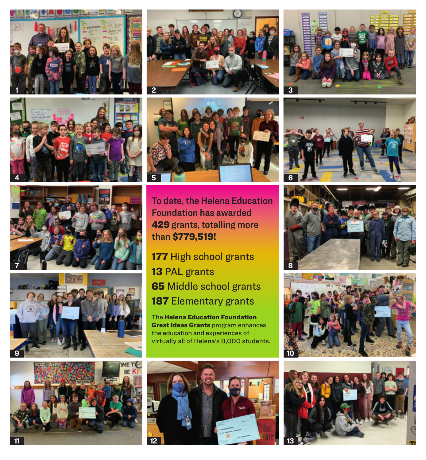













To date, the Helena Education Foundation has awarded 429 grants, totalling more than \$779,519!

177 High school grants 13 PAL grants 65 Middle school grants 187 Elementary grants

The Helena Education Foundation **Great Ideas Grants** program enhances the education and experiences of virtually all of Helena's 8,000 students.